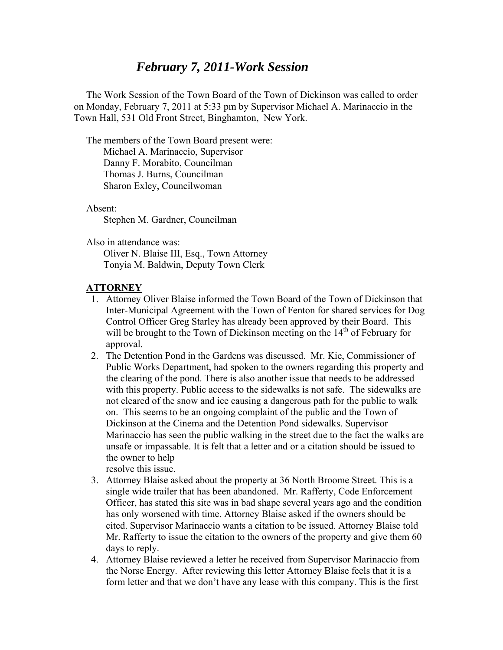## *February 7, 2011-Work Session*

 The Work Session of the Town Board of the Town of Dickinson was called to order on Monday, February 7, 2011 at 5:33 pm by Supervisor Michael A. Marinaccio in the Town Hall, 531 Old Front Street, Binghamton, New York.

 The members of the Town Board present were: Michael A. Marinaccio, Supervisor

 Danny F. Morabito, Councilman Thomas J. Burns, Councilman Sharon Exley, Councilwoman

Absent:

Stephen M. Gardner, Councilman

Also in attendance was:

 Oliver N. Blaise III, Esq., Town Attorney Tonyia M. Baldwin, Deputy Town Clerk

## **ATTORNEY**

- 1. Attorney Oliver Blaise informed the Town Board of the Town of Dickinson that Inter-Municipal Agreement with the Town of Fenton for shared services for Dog Control Officer Greg Starley has already been approved by their Board. This will be brought to the Town of Dickinson meeting on the  $14<sup>th</sup>$  of February for approval.
- 2. The Detention Pond in the Gardens was discussed. Mr. Kie, Commissioner of Public Works Department, had spoken to the owners regarding this property and the clearing of the pond. There is also another issue that needs to be addressed with this property. Public access to the sidewalks is not safe. The sidewalks are not cleared of the snow and ice causing a dangerous path for the public to walk on. This seems to be an ongoing complaint of the public and the Town of Dickinson at the Cinema and the Detention Pond sidewalks. Supervisor Marinaccio has seen the public walking in the street due to the fact the walks are unsafe or impassable. It is felt that a letter and or a citation should be issued to the owner to help resolve this issue.

3. Attorney Blaise asked about the property at 36 North Broome Street. This is a single wide trailer that has been abandoned. Mr. Rafferty, Code Enforcement Officer, has stated this site was in bad shape several years ago and the condition has only worsened with time. Attorney Blaise asked if the owners should be cited. Supervisor Marinaccio wants a citation to be issued. Attorney Blaise told Mr. Rafferty to issue the citation to the owners of the property and give them 60 days to reply.

4. Attorney Blaise reviewed a letter he received from Supervisor Marinaccio from the Norse Energy. After reviewing this letter Attorney Blaise feels that it is a form letter and that we don't have any lease with this company. This is the first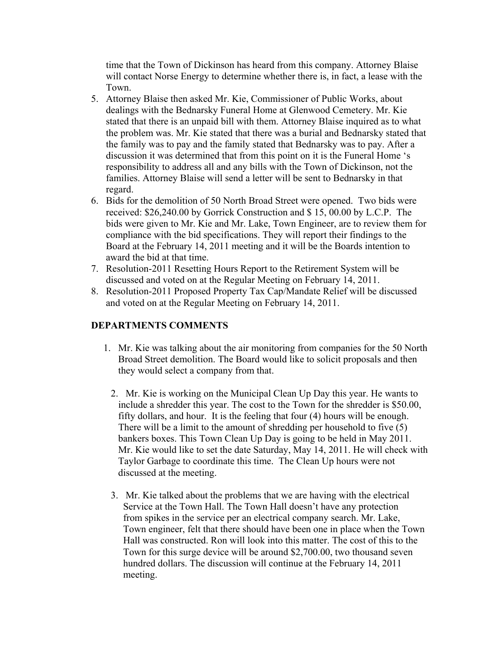time that the Town of Dickinson has heard from this company. Attorney Blaise will contact Norse Energy to determine whether there is, in fact, a lease with the Town.

- 5. Attorney Blaise then asked Mr. Kie, Commissioner of Public Works, about dealings with the Bednarsky Funeral Home at Glenwood Cemetery. Mr. Kie stated that there is an unpaid bill with them. Attorney Blaise inquired as to what the problem was. Mr. Kie stated that there was a burial and Bednarsky stated that the family was to pay and the family stated that Bednarsky was to pay. After a discussion it was determined that from this point on it is the Funeral Home 's responsibility to address all and any bills with the Town of Dickinson, not the families. Attorney Blaise will send a letter will be sent to Bednarsky in that regard.
- 6. Bids for the demolition of 50 North Broad Street were opened. Two bids were received: \$26,240.00 by Gorrick Construction and \$ 15, 00.00 by L.C.P. The bids were given to Mr. Kie and Mr. Lake, Town Engineer, are to review them for compliance with the bid specifications. They will report their findings to the Board at the February 14, 2011 meeting and it will be the Boards intention to award the bid at that time.
- 7. Resolution-2011 Resetting Hours Report to the Retirement System will be discussed and voted on at the Regular Meeting on February 14, 2011.
- 8. Resolution-2011 Proposed Property Tax Cap/Mandate Relief will be discussed and voted on at the Regular Meeting on February 14, 2011.

## **DEPARTMENTS COMMENTS**

- 1. Mr. Kie was talking about the air monitoring from companies for the 50 North Broad Street demolition. The Board would like to solicit proposals and then they would select a company from that.
	- 2. Mr. Kie is working on the Municipal Clean Up Day this year. He wants to include a shredder this year. The cost to the Town for the shredder is \$50.00, fifty dollars, and hour. It is the feeling that four (4) hours will be enough. There will be a limit to the amount of shredding per household to five (5) bankers boxes. This Town Clean Up Day is going to be held in May 2011. Mr. Kie would like to set the date Saturday, May 14, 2011. He will check with Taylor Garbage to coordinate this time. The Clean Up hours were not discussed at the meeting.
	- 3. Mr. Kie talked about the problems that we are having with the electrical Service at the Town Hall. The Town Hall doesn't have any protection from spikes in the service per an electrical company search. Mr. Lake, Town engineer, felt that there should have been one in place when the Town Hall was constructed. Ron will look into this matter. The cost of this to the Town for this surge device will be around \$2,700.00, two thousand seven hundred dollars. The discussion will continue at the February 14, 2011 meeting.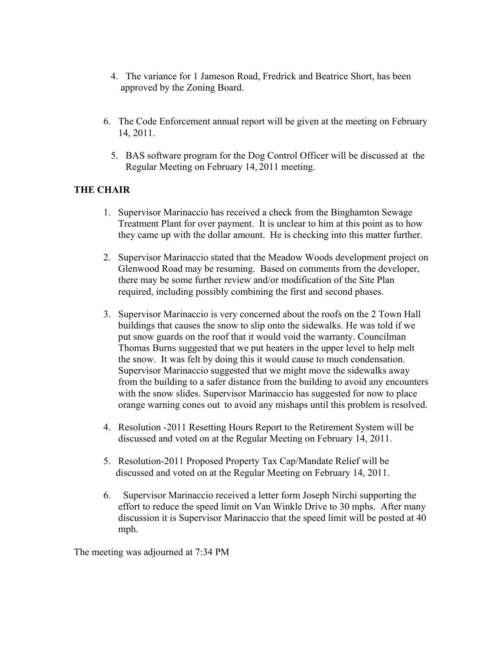- 4. The variance for 1 Jameson Road, Fredrick and Beatrice Short, has been approved by the Zoning Board.
- 6. The Code Enforcement annual report will be given at the meeting on February 14, 2011.
	- 5. BAS software program for the Dog Control Officer will be discussed at the Regular Meeting on February 14, 2011 meeting.

## **THE CHAIR**

- 1. Supervisor Marinaccio has received a check from the Binghamton Sewage Treatment Plant for over payment. It is unclear to him at this point as to how they came up with the dollar amount. He is checking into this matter further.
- 2. Supervisor Marinaccio stated that the Meadow Woods development project on Glenwood Road may be resuming. Based on comments from the developer, there may be some further review and/or modification of the Site Plan required, including possibly combining the first and second phases.
- 3. Supervisor Marinaccio is very concerned about the roofs on the 2 Town Hall buildings that causes the snow to slip onto the sidewalks. He was told if we put snow guards on the roof that it would void the warranty. Councilman Thomas Burns suggested that we put heaters in the upper level to help melt the snow. It was felt by doing this it would cause to much condensation. Supervisor Marinaccio suggested that we might move the sidewalks away from the building to a safer distance from the building to avoid any encounters with the snow slides. Supervisor Marinaccio has suggested for now to place orange warning cones out to avoid any mishaps until this problem is resolved.
- 4. Resolution -2011 Resetting Hours Report to the Retirement System will be discussed and voted on at the Regular Meeting on February 14, 2011.
- 5. Resolution-2011 Proposed Property Tax Cap/Mandate Relief will be discussed and voted on at the Regular Meeting on February 14, 2011.
- 6. Supervisor Marinaccio received a letter form Joseph Nirchi supporting the effort to reduce the speed limit on Van Winkle Drive to 30 mphs. After many discussion it is Supervisor Marinaccio that the speed limit will be posted at 40 mph.

The meeting was adjourned at 7:34 PM